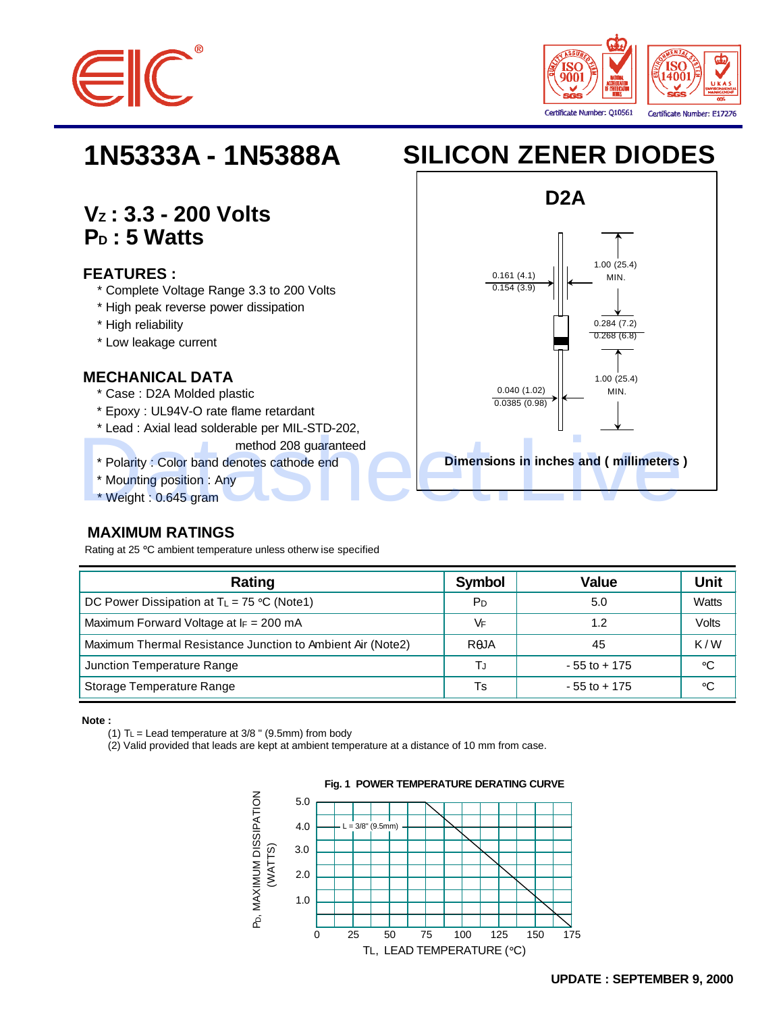



# **VZ : 3.3 - 200 Volts PD : 5 Watts**

#### **FEATURES :**

- \* Complete Voltage Range 3.3 to 200 Volts
- \* High peak reverse power dissipation
- \* High reliability
- \* Low leakage current

#### **MECHANICAL DATA**

- \* Case : D2A Molded plastic
- \* Epoxy : UL94V-O rate flame retardant
- \* Lead : Axial lead solderable per MIL-STD-202,
	- method 208 guaranteed
- \* Polarity : Color band denotes cathode end
- \* Mounting position : Any

#### \* Weight : 0.645 gram

### **MAXIMUM RATINGS**

Rating at 25 °C ambient temperature unless otherw ise specified

| Rating                                                     | <b>Symbol</b>  | Value           | Unit  |
|------------------------------------------------------------|----------------|-----------------|-------|
| DC Power Dissipation at $T_L = 75 \degree C$ (Note1)       | P <sub>D</sub> | 5.0             | Watts |
| Maximum Forward Voltage at $I_F = 200$ mA                  | VF             | 1.2             | Volts |
| Maximum Thermal Resistance Junction to Ambient Air (Note2) | RAJA           | 45              | K/W   |
| Junction Temperature Range                                 | ТJ             | $-55$ to $+175$ | ∘C    |
| Storage Temperature Range                                  | Ts             | $-55$ to $+175$ | ∘C    |

**Note :** 

(1)  $TL =$  Lead temperature at  $3/8$  " (9.5mm) from body

(2) Valid provided that leads are kept at ambient temperature at a distance of 10 mm from case.



# **1N5333A - 1N5388A SILICON ZENER DIODES**